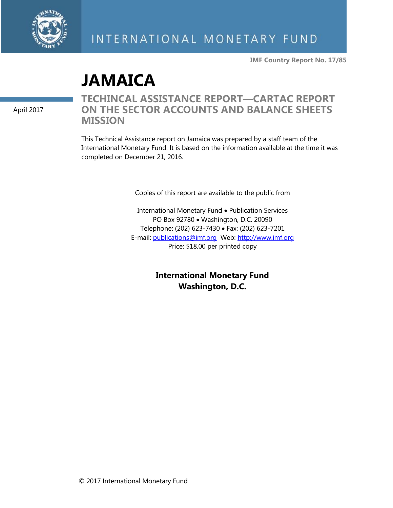

**IMF Country Report No. 17/85**

# **JAMAICA**

April 2017

# **TECHINCAL ASSISTANCE REPORT—CARTAC REPORT ON THE SECTOR ACCOUNTS AND BALANCE SHEETS MISSION**

This Technical Assistance report on Jamaica was prepared by a staff team of the International Monetary Fund. It is based on the information available at the time it was completed on December 21, 2016.

Copies of this report are available to the public from

International Monetary Fund . Publication Services PO Box 92780 • Washington, D.C. 20090 Telephone: (202) 623-7430 Fax: (202) 623-7201 E-mail: [publications@imf.org](mailto:publications@imf.org) Web: [http://www.imf.org](http://www.imf.org/) Price: \$18.00 per printed copy

> **International Monetary Fund Washington, D.C.**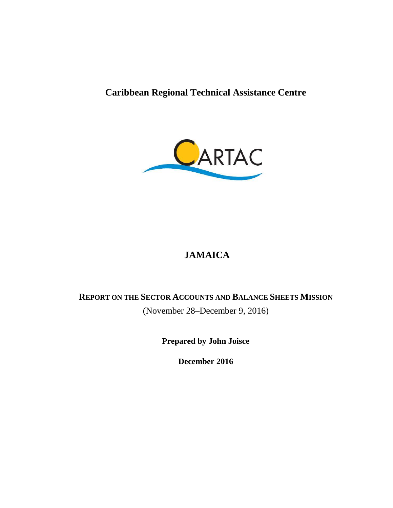**Caribbean Regional Technical Assistance Centre**



# **JAMAICA**

# **REPORT ON THE SECTOR ACCOUNTS AND BALANCE SHEETS MISSION** (November 28–December 9, 2016)

**Prepared by John Joisce**

**December 2016**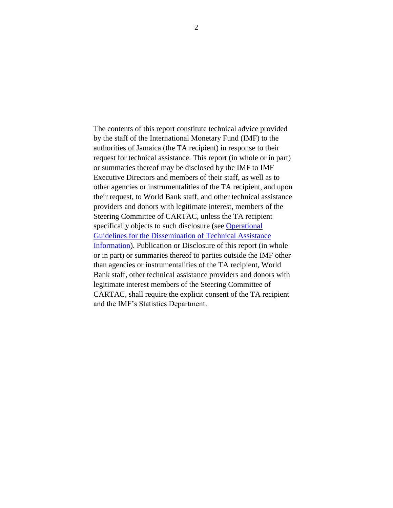The contents of this report constitute technical advice provided by the staff of the International Monetary Fund (IMF) to the authorities of Jamaica (the TA recipient) in response to their request for technical assistance. This report (in whole or in part) or summaries thereof may be disclosed by the IMF to IMF Executive Directors and members of their staff, as well as to other agencies or instrumentalities of the TA recipient, and upon their request, to World Bank staff, and other technical assistance providers and donors with legitimate interest, members of the Steering Committee of CARTAC, unless the TA recipient specifically objects to such disclosure (see [Operational](http://www.imf.org/external/np/pp/eng/2013/061013.pdf)  [Guidelines for the Dissemination of Technical Assistance](http://www.imf.org/external/np/pp/eng/2013/061013.pdf)  [Information\)](http://www.imf.org/external/np/pp/eng/2013/061013.pdf). Publication or Disclosure of this report (in whole or in part) or summaries thereof to parties outside the IMF other than agencies or instrumentalities of the TA recipient, World Bank staff, other technical assistance providers and donors with legitimate interest members of the Steering Committee of CARTAC, shall require the explicit consent of the TA recipient and the IMF's Statistics Department.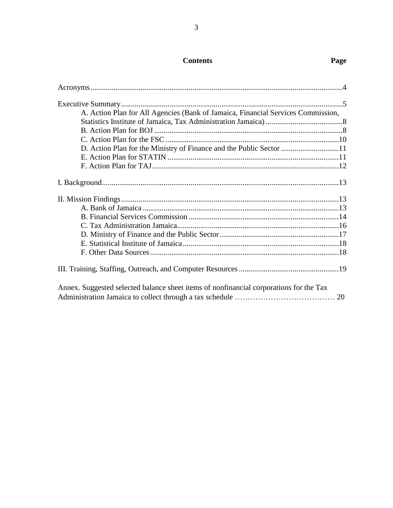# **Contents Page**

| A. Action Plan for All Agencies (Bank of Jamaica, Financial Services Commission,       |  |
|----------------------------------------------------------------------------------------|--|
|                                                                                        |  |
|                                                                                        |  |
|                                                                                        |  |
| D. Action Plan for the Ministry of Finance and the Public Sector 11                    |  |
|                                                                                        |  |
|                                                                                        |  |
|                                                                                        |  |
|                                                                                        |  |
|                                                                                        |  |
|                                                                                        |  |
|                                                                                        |  |
|                                                                                        |  |
|                                                                                        |  |
|                                                                                        |  |
|                                                                                        |  |
| Annex. Suggested selected balance sheet items of nonfinancial corporations for the Tax |  |
|                                                                                        |  |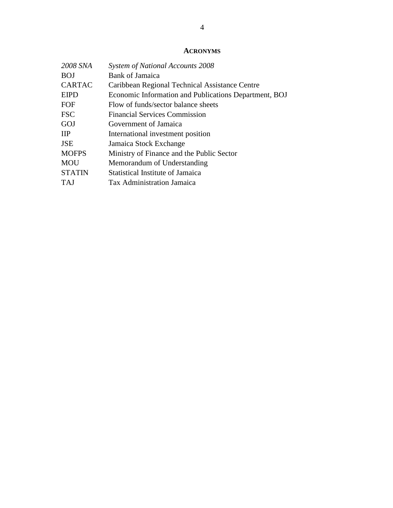#### **ACRONYMS**

| 2008 SNA      | System of National Accounts 2008                      |
|---------------|-------------------------------------------------------|
| <b>BOJ</b>    | <b>Bank of Jamaica</b>                                |
| <b>CARTAC</b> | Caribbean Regional Technical Assistance Centre        |
| <b>EIPD</b>   | Economic Information and Publications Department, BOJ |
| FOF           | Flow of funds/sector balance sheets                   |
| <b>FSC</b>    | <b>Financial Services Commission</b>                  |
| GOJ           | Government of Jamaica                                 |
| <b>IIP</b>    | International investment position                     |
| <b>JSE</b>    | Jamaica Stock Exchange                                |
| <b>MOFPS</b>  | Ministry of Finance and the Public Sector             |
| <b>MOU</b>    | Memorandum of Understanding                           |
| <b>STATIN</b> | <b>Statistical Institute of Jamaica</b>               |
| TAJ           | Tax Administration Jamaica                            |
|               |                                                       |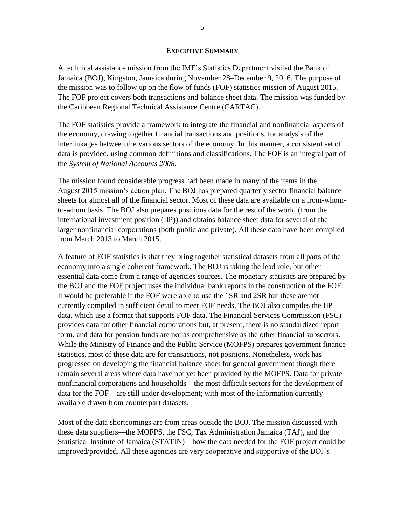#### **EXECUTIVE SUMMARY**

A technical assistance mission from the IMF's Statistics Department visited the Bank of Jamaica (BOJ), Kingston, Jamaica during November 28–December 9, 2016. The purpose of the mission was to follow up on the flow of funds (FOF) statistics mission of August 2015. The FOF project covers both transactions and balance sheet data. The mission was funded by the Caribbean Regional Technical Assistance Centre (CARTAC).

The FOF statistics provide a framework to integrate the financial and nonfinancial aspects of the economy, drawing together financial transactions and positions, for analysis of the interlinkages between the various sectors of the economy. In this manner, a consistent set of data is provided, using common definitions and classifications. The FOF is an integral part of the *System of National Accounts 2008.*

The mission found considerable progress had been made in many of the items in the August 2015 mission's action plan. The BOJ has prepared quarterly sector financial balance sheets for almost all of the financial sector. Most of these data are available on a from-whomto-whom basis. The BOJ also prepares positions data for the rest of the world (from the international investment position (IIP)) and obtains balance sheet data for several of the larger nonfinancial corporations (both public and private). All these data have been compiled from March 2013 to March 2015.

A feature of FOF statistics is that they bring together statistical datasets from all parts of the economy into a single coherent framework. The BOJ is taking the lead role, but other essential data come from a range of agencies sources. The monetary statistics are prepared by the BOJ and the FOF project uses the individual bank reports in the construction of the FOF. It would be preferable if the FOF were able to use the 1SR and 2SR but these are not currently compiled in sufficient detail to meet FOF needs. The BOJ also compiles the IIP data, which use a format that supports FOF data. The Financial Services Commission (FSC) provides data for other financial corporations but, at present, there is no standardized report form, and data for pension funds are not as comprehensive as the other financial subsectors. While the Ministry of Finance and the Public Service (MOFPS) prepares government finance statistics, most of these data are for transactions, not positions. Nonetheless, work has progressed on developing the financial balance sheet for general government though there remain several areas where data have not yet been provided by the MOFPS. Data for private nonfinancial corporations and households—the most difficult sectors for the development of data for the FOF—are still under development; with most of the information currently available drawn from counterpart datasets.

Most of the data shortcomings are from areas outside the BOJ. The mission discussed with these data suppliers—the MOFPS, the FSC, Tax Administration Jamaica (TAJ), and the Statistical Institute of Jamaica (STATIN)—how the data needed for the FOF project could be improved/provided. All these agencies are very cooperative and supportive of the BOJ's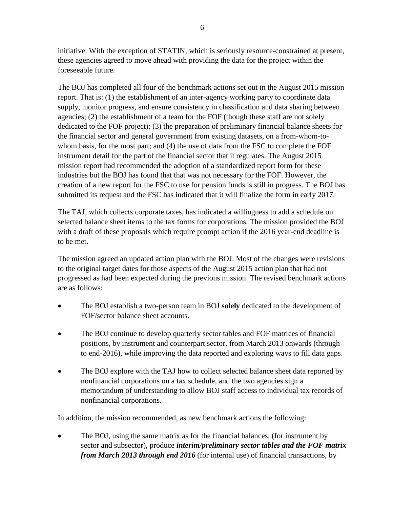initiative. With the exception of STATIN, which is seriously resource-constrained at present, these agencies agreed to move ahead with providing the data for the project within the foreseeable future.

The BOJ has completed all four of the benchmark actions set out in the August 2015 mission report. That is: (1) the establishment of an inter-agency working party to coordinate data supply, monitor progress, and ensure consistency in classification and data sharing between agencies; (2) the establishment of a team for the FOF (though these staff are not solely dedicated to the FOF project); (3) the preparation of preliminary financial balance sheets for the financial sector and general government from existing datasets, on a from-whom-towhom basis, for the most part; and (4) the use of data from the FSC to complete the FOF instrument detail for the part of the financial sector that it regulates. The August 2015 mission report had recommended the adoption of a standardized report form for these industries but the BOJ has found that that was not necessary for the FOF. However, the creation of a new report for the FSC to use for pension funds is still in progress. The BOJ has submitted its request and the FSC has indicated that it will finalize the form in early 2017.

The TAJ, which collects corporate taxes, has indicated a willingness to add a schedule on selected balance sheet items to the tax forms for corporations. The mission provided the BOJ with a draft of these proposals which require prompt action if the 2016 year-end deadline is to be met.

The mission agreed an updated action plan with the BOJ. Most of the changes were revisions to the original target dates for those aspects of the August 2015 action plan that had not progressed as had been expected during the previous mission. The revised benchmark actions are as follows:

- The BOJ establish a two-person team in BOJ **solely** dedicated to the development of FOF/sector balance sheet accounts.
- The BOJ continue to develop quarterly sector tables and FOF matrices of financial positions, by instrument and counterpart sector, from March 2013 onwards (through to end-2016), while improving the data reported and exploring ways to fill data gaps.
- The BOJ explore with the TAJ how to collect selected balance sheet data reported by nonfinancial corporations on a tax schedule, and the two agencies sign a memorandum of understanding to allow BOJ staff access to individual tax records of nonfinancial corporations.

In addition, the mission recommended, as new benchmark actions the following:

 The BOJ, using the same matrix as for the financial balances, (for instrument by sector and subsector), produce *interim/preliminary sector tables and the FOF matrix from March 2013 through end 2016* (for internal use) of financial transactions, by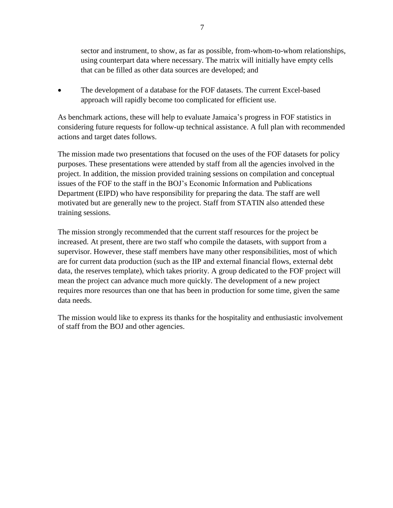sector and instrument, to show, as far as possible, from-whom-to-whom relationships, using counterpart data where necessary. The matrix will initially have empty cells that can be filled as other data sources are developed; and

 The development of a database for the FOF datasets. The current Excel-based approach will rapidly become too complicated for efficient use.

As benchmark actions, these will help to evaluate Jamaica's progress in FOF statistics in considering future requests for follow-up technical assistance. A full plan with recommended actions and target dates follows.

The mission made two presentations that focused on the uses of the FOF datasets for policy purposes. These presentations were attended by staff from all the agencies involved in the project. In addition, the mission provided training sessions on compilation and conceptual issues of the FOF to the staff in the BOJ's Economic Information and Publications Department (EIPD) who have responsibility for preparing the data. The staff are well motivated but are generally new to the project. Staff from STATIN also attended these training sessions.

The mission strongly recommended that the current staff resources for the project be increased. At present, there are two staff who compile the datasets, with support from a supervisor. However, these staff members have many other responsibilities, most of which are for current data production (such as the IIP and external financial flows, external debt data, the reserves template), which takes priority. A group dedicated to the FOF project will mean the project can advance much more quickly. The development of a new project requires more resources than one that has been in production for some time, given the same data needs.

The mission would like to express its thanks for the hospitality and enthusiastic involvement of staff from the BOJ and other agencies.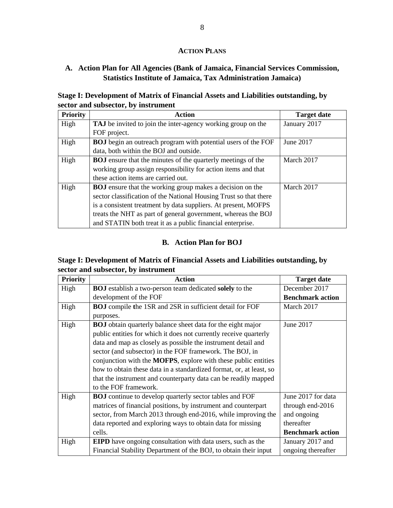#### **ACTION PLANS**

#### **A. Action Plan for All Agencies (Bank of Jamaica, Financial Services Commission, Statistics Institute of Jamaica, Tax Administration Jamaica)**

#### **Stage I: Development of Matrix of Financial Assets and Liabilities outstanding, by sector and subsector, by instrument**

| <b>Priority</b> | Action                                                               | <b>Target date</b> |
|-----------------|----------------------------------------------------------------------|--------------------|
| High            | <b>TAJ</b> be invited to join the inter-agency working group on the  | January 2017       |
|                 | FOF project.                                                         |                    |
| High            | <b>BOJ</b> begin an outreach program with potential users of the FOF | June 2017          |
|                 | data, both within the BOJ and outside.                               |                    |
| High            | <b>BOJ</b> ensure that the minutes of the quarterly meetings of the  | March 2017         |
|                 | working group assign responsibility for action items and that        |                    |
|                 | these action items are carried out.                                  |                    |
| High            | <b>BOJ</b> ensure that the working group makes a decision on the     | March 2017         |
|                 | sector classification of the National Housing Trust so that there    |                    |
|                 | is a consistent treatment by data suppliers. At present, MOFPS       |                    |
|                 | treats the NHT as part of general government, whereas the BOJ        |                    |
|                 | and STATIN both treat it as a public financial enterprise.           |                    |

#### **B. Action Plan for BOJ**

#### **Stage I: Development of Matrix of Financial Assets and Liabilities outstanding, by sector and subsector, by instrument**

| <b>Priority</b> | <b>Action</b>                                                          | <b>Target date</b>      |
|-----------------|------------------------------------------------------------------------|-------------------------|
| High            | <b>BOJ</b> establish a two-person team dedicated solely to the         | December 2017           |
|                 | development of the FOF                                                 | <b>Benchmark action</b> |
| High            | <b>BOJ</b> compile the 1SR and 2SR in sufficient detail for FOF        | March 2017              |
|                 | purposes.                                                              |                         |
| High            | <b>BOJ</b> obtain quarterly balance sheet data for the eight major     | June 2017               |
|                 | public entities for which it does not currently receive quarterly      |                         |
|                 | data and map as closely as possible the instrument detail and          |                         |
|                 | sector (and subsector) in the FOF framework. The BOJ, in               |                         |
|                 | conjunction with the <b>MOFPS</b> , explore with these public entities |                         |
|                 | how to obtain these data in a standardized format, or, at least, so    |                         |
|                 | that the instrument and counterparty data can be readily mapped        |                         |
|                 | to the FOF framework.                                                  |                         |
| High            | <b>BOJ</b> continue to develop quarterly sector tables and FOF         | June 2017 for data      |
|                 | matrices of financial positions, by instrument and counterpart         | through end-2016        |
|                 | sector, from March 2013 through end-2016, while improving the          | and ongoing             |
|                 | data reported and exploring ways to obtain data for missing            | thereafter              |
|                 | cells.                                                                 | <b>Benchmark action</b> |
| High            | <b>EIPD</b> have ongoing consultation with data users, such as the     | January 2017 and        |
|                 | Financial Stability Department of the BOJ, to obtain their input       | ongoing thereafter      |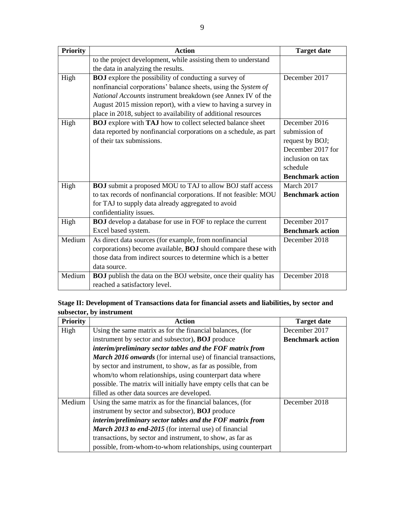| <b>Priority</b> | <b>Action</b>                                                          | <b>Target date</b>      |
|-----------------|------------------------------------------------------------------------|-------------------------|
|                 | to the project development, while assisting them to understand         |                         |
|                 | the data in analyzing the results.                                     |                         |
| High            | <b>BOJ</b> explore the possibility of conducting a survey of           | December 2017           |
|                 | nonfinancial corporations' balance sheets, using the System of         |                         |
|                 | National Accounts instrument breakdown (see Annex IV of the            |                         |
|                 | August 2015 mission report), with a view to having a survey in         |                         |
|                 | place in 2018, subject to availability of additional resources         |                         |
| High            | <b>BOJ</b> explore with TAJ how to collect selected balance sheet      | December 2016           |
|                 | data reported by nonfinancial corporations on a schedule, as part      | submission of           |
|                 | of their tax submissions.                                              | request by BOJ;         |
|                 |                                                                        | December 2017 for       |
|                 |                                                                        | inclusion on tax        |
|                 |                                                                        | schedule                |
|                 |                                                                        | <b>Benchmark action</b> |
| High            | <b>BOJ</b> submit a proposed MOU to TAJ to allow BOJ staff access      | March 2017              |
|                 | to tax records of nonfinancial corporations. If not feasible: MOU      | <b>Benchmark action</b> |
|                 | for TAJ to supply data already aggregated to avoid                     |                         |
|                 | confidentiality issues.                                                |                         |
| High            | <b>BOJ</b> develop a database for use in FOF to replace the current    | December 2017           |
|                 | Excel based system.                                                    | <b>Benchmark action</b> |
| Medium          | As direct data sources (for example, from nonfinancial                 | December 2018           |
|                 | corporations) become available, <b>BOJ</b> should compare these with   |                         |
|                 | those data from indirect sources to determine which is a better        |                         |
|                 | data source.                                                           |                         |
| Medium          | <b>BOJ</b> publish the data on the BOJ website, once their quality has | December 2018           |
|                 | reached a satisfactory level.                                          |                         |

**Stage II: Development of Transactions data for financial assets and liabilities, by sector and subsector, by instrument**

| <b>Priority</b> | <b>Action</b>                                                    | <b>Target date</b>      |
|-----------------|------------------------------------------------------------------|-------------------------|
| High            | Using the same matrix as for the financial balances, (for        | December 2017           |
|                 | instrument by sector and subsector), <b>BOJ</b> produce          | <b>Benchmark action</b> |
|                 | interim/preliminary sector tables and the FOF matrix from        |                         |
|                 | March 2016 onwards (for internal use) of financial transactions, |                         |
|                 | by sector and instrument, to show, as far as possible, from      |                         |
|                 | whom/to whom relationships, using counterpart data where         |                         |
|                 | possible. The matrix will initially have empty cells that can be |                         |
|                 | filled as other data sources are developed.                      |                         |
| Medium          | Using the same matrix as for the financial balances, (for        | December 2018           |
|                 | instrument by sector and subsector), <b>BOJ</b> produce          |                         |
|                 | interim/preliminary sector tables and the FOF matrix from        |                         |
|                 | March 2013 to end-2015 (for internal use) of financial           |                         |
|                 | transactions, by sector and instrument, to show, as far as       |                         |
|                 | possible, from-whom-to-whom relationships, using counterpart     |                         |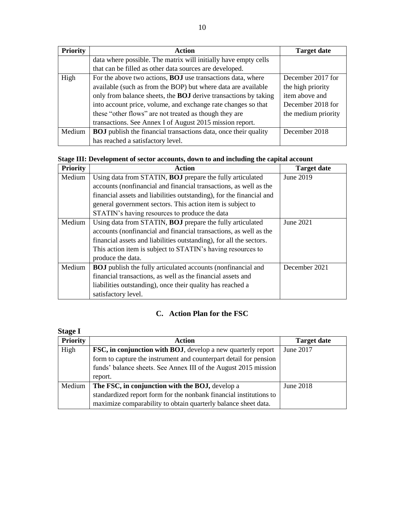| <b>Priority</b> | Action                                                                 | <b>Target date</b>  |
|-----------------|------------------------------------------------------------------------|---------------------|
|                 | data where possible. The matrix will initially have empty cells        |                     |
|                 | that can be filled as other data sources are developed.                |                     |
| High            | For the above two actions, <b>BOJ</b> use transactions data, where     | December 2017 for   |
|                 | available (such as from the BOP) but where data are available          | the high priority   |
|                 | only from balance sheets, the <b>BOJ</b> derive transactions by taking | item above and      |
|                 | into account price, volume, and exchange rate changes so that          | December 2018 for   |
|                 | these "other flows" are not treated as though they are                 | the medium priority |
|                 | transactions. See Annex I of August 2015 mission report.               |                     |
| Medium          | <b>BOJ</b> publish the financial transactions data, once their quality | December 2018       |
|                 | has reached a satisfactory level.                                      |                     |

## **Stage III: Development of sector accounts, down to and including the capital account**

| <b>Priority</b> | <b>Action</b>                                                        | <b>Target date</b> |
|-----------------|----------------------------------------------------------------------|--------------------|
| Medium          | Using data from STATIN, <b>BOJ</b> prepare the fully articulated     | June 2019          |
|                 | accounts (nonfinancial and financial transactions, as well as the    |                    |
|                 | financial assets and liabilities outstanding), for the financial and |                    |
|                 | general government sectors. This action item is subject to           |                    |
|                 | STATIN's having resources to produce the data                        |                    |
| Medium          | Using data from STATIN, <b>BOJ</b> prepare the fully articulated     | June 2021          |
|                 | accounts (nonfinancial and financial transactions, as well as the    |                    |
|                 | financial assets and liabilities outstanding), for all the sectors.  |                    |
|                 | This action item is subject to STATIN's having resources to          |                    |
|                 | produce the data.                                                    |                    |
| Medium          | <b>BOJ</b> publish the fully articulated accounts (nonfinancial and  | December 2021      |
|                 | financial transactions, as well as the financial assets and          |                    |
|                 | liabilities outstanding), once their quality has reached a           |                    |
|                 | satisfactory level.                                                  |                    |

# **C. Action Plan for the FSC**

| <b>Stage I</b>  |                                                                      |                    |
|-----------------|----------------------------------------------------------------------|--------------------|
| <b>Priority</b> | Action                                                               | <b>Target date</b> |
| High            | <b>FSC, in conjunction with BOJ</b> , develop a new quarterly report | June 2017          |
|                 | form to capture the instrument and counterpart detail for pension    |                    |
|                 | funds' balance sheets. See Annex III of the August 2015 mission      |                    |
|                 | report.                                                              |                    |
| Medium          | The FSC, in conjunction with the BOJ, develop a                      | June 2018          |
|                 | standardized report form for the nonbank financial institutions to   |                    |
|                 | maximize comparability to obtain quarterly balance sheet data.       |                    |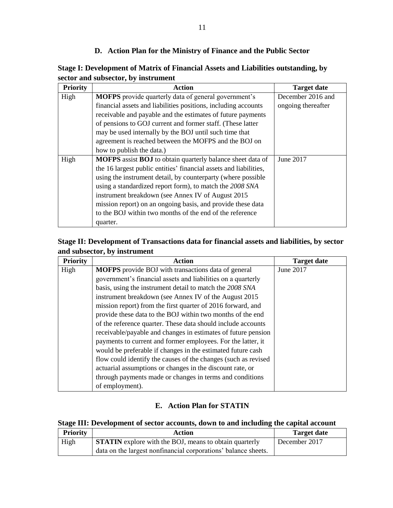#### **D. Action Plan for the Ministry of Finance and the Public Sector**

**Stage I: Development of Matrix of Financial Assets and Liabilities outstanding, by sector and subsector, by instrument**

| <b>Priority</b> | <b>Action</b>                                                            | <b>Target date</b> |
|-----------------|--------------------------------------------------------------------------|--------------------|
| High            | <b>MOFPS</b> provide quarterly data of general government's              | December 2016 and  |
|                 | financial assets and liabilities positions, including accounts           | ongoing thereafter |
|                 | receivable and payable and the estimates of future payments              |                    |
|                 | of pensions to GOJ current and former staff. (These latter               |                    |
|                 | may be used internally by the BOJ until such time that                   |                    |
|                 | agreement is reached between the MOFPS and the BOJ on                    |                    |
|                 | how to publish the data.)                                                |                    |
| High            | <b>MOFPS</b> assist <b>BOJ</b> to obtain quarterly balance sheet data of | June 2017          |
|                 | the 16 largest public entities' financial assets and liabilities,        |                    |
|                 | using the instrument detail, by counterparty (where possible             |                    |
|                 | using a standardized report form), to match the 2008 SNA                 |                    |
|                 | instrument breakdown (see Annex IV of August 2015                        |                    |
|                 | mission report) on an ongoing basis, and provide these data              |                    |
|                 | to the BOJ within two months of the end of the reference                 |                    |
|                 | quarter.                                                                 |                    |

## **Stage II: Development of Transactions data for financial assets and liabilities, by sector and subsector, by instrument**

| <b>Priority</b> | <b>Action</b>                                                  | <b>Target date</b> |
|-----------------|----------------------------------------------------------------|--------------------|
| High            | <b>MOFPS</b> provide BOJ with transactions data of general     | June 2017          |
|                 | government's financial assets and liabilities on a quarterly   |                    |
|                 | basis, using the instrument detail to match the 2008 SNA       |                    |
|                 | instrument breakdown (see Annex IV of the August 2015          |                    |
|                 | mission report) from the first quarter of 2016 forward, and    |                    |
|                 | provide these data to the BOJ within two months of the end     |                    |
|                 | of the reference quarter. These data should include accounts   |                    |
|                 | receivable/payable and changes in estimates of future pension  |                    |
|                 | payments to current and former employees. For the latter, it   |                    |
|                 | would be preferable if changes in the estimated future cash    |                    |
|                 | flow could identify the causes of the changes (such as revised |                    |
|                 | actuarial assumptions or changes in the discount rate, or      |                    |
|                 | through payments made or changes in terms and conditions       |                    |
|                 | of employment).                                                |                    |

#### **E. Action Plan for STATIN**

#### **Stage III: Development of sector accounts, down to and including the capital account**

| <b>Priority</b> | Action                                                         | <b>Target date</b> |
|-----------------|----------------------------------------------------------------|--------------------|
| High            | <b>STATIN</b> explore with the BOJ, means to obtain quarterly  | December 2017      |
|                 | data on the largest nonfinancial corporations' balance sheets. |                    |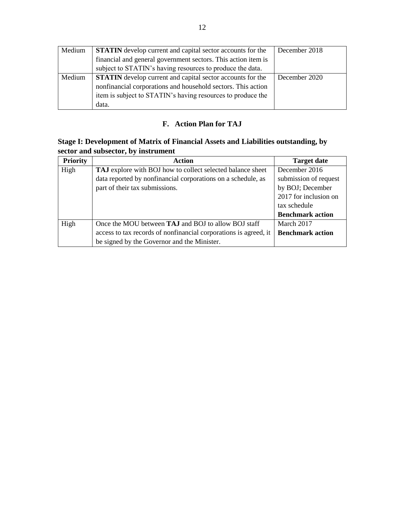| Medium | <b>STATIN</b> develop current and capital sector accounts for the | December 2018 |
|--------|-------------------------------------------------------------------|---------------|
|        | financial and general government sectors. This action item is     |               |
|        | subject to STATIN's having resources to produce the data.         |               |
| Medium | <b>STATIN</b> develop current and capital sector accounts for the | December 2020 |
|        | nonfinancial corporations and household sectors. This action      |               |
|        | item is subject to STATIN's having resources to produce the       |               |
|        | data.                                                             |               |

# **F. Action Plan for TAJ**

# **Stage I: Development of Matrix of Financial Assets and Liabilities outstanding, by sector and subsector, by instrument**

| <b>Priority</b> | <b>Action</b>                                                    | <b>Target date</b>      |
|-----------------|------------------------------------------------------------------|-------------------------|
| High            | TAJ explore with BOJ how to collect selected balance sheet       | December 2016           |
|                 | data reported by nonfinancial corporations on a schedule, as     | submission of request   |
|                 | part of their tax submissions.                                   | by BOJ; December        |
|                 |                                                                  | 2017 for inclusion on   |
|                 |                                                                  | tax schedule            |
|                 |                                                                  | <b>Benchmark action</b> |
| High            | Once the MOU between TAJ and BOJ to allow BOJ staff              | March 2017              |
|                 | access to tax records of nonfinancial corporations is agreed, it | <b>Benchmark action</b> |
|                 | be signed by the Governor and the Minister.                      |                         |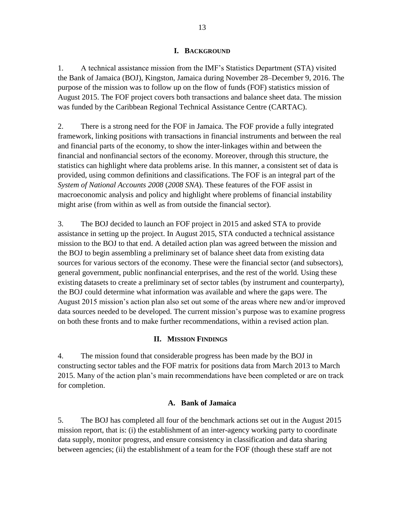#### **I. BACKGROUND**

1. A technical assistance mission from the IMF's Statistics Department (STA) visited the Bank of Jamaica (BOJ), Kingston, Jamaica during November 28–December 9, 2016. The purpose of the mission was to follow up on the flow of funds (FOF) statistics mission of August 2015. The FOF project covers both transactions and balance sheet data. The mission was funded by the Caribbean Regional Technical Assistance Centre (CARTAC).

2. There is a strong need for the FOF in Jamaica. The FOF provide a fully integrated framework, linking positions with transactions in financial instruments and between the real and financial parts of the economy, to show the inter-linkages within and between the financial and nonfinancial sectors of the economy. Moreover, through this structure, the statistics can highlight where data problems arise. In this manner, a consistent set of data is provided, using common definitions and classifications. The FOF is an integral part of the *System of National Accounts 2008* (*2008 SNA*). These features of the FOF assist in macroeconomic analysis and policy and highlight where problems of financial instability might arise (from within as well as from outside the financial sector).

3. The BOJ decided to launch an FOF project in 2015 and asked STA to provide assistance in setting up the project. In August 2015, STA conducted a technical assistance mission to the BOJ to that end. A detailed action plan was agreed between the mission and the BOJ to begin assembling a preliminary set of balance sheet data from existing data sources for various sectors of the economy. These were the financial sector (and subsectors), general government, public nonfinancial enterprises, and the rest of the world. Using these existing datasets to create a preliminary set of sector tables (by instrument and counterparty), the BOJ could determine what information was available and where the gaps were. The August 2015 mission's action plan also set out some of the areas where new and/or improved data sources needed to be developed. The current mission's purpose was to examine progress on both these fronts and to make further recommendations, within a revised action plan.

#### **II. MISSION FINDINGS**

4. The mission found that considerable progress has been made by the BOJ in constructing sector tables and the FOF matrix for positions data from March 2013 to March 2015. Many of the action plan's main recommendations have been completed or are on track for completion.

#### **A. Bank of Jamaica**

5. The BOJ has completed all four of the benchmark actions set out in the August 2015 mission report, that is: (i) the establishment of an inter-agency working party to coordinate data supply, monitor progress, and ensure consistency in classification and data sharing between agencies; (ii) the establishment of a team for the FOF (though these staff are not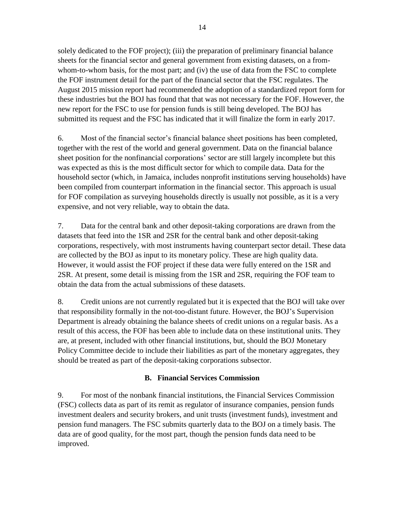solely dedicated to the FOF project); (iii) the preparation of preliminary financial balance sheets for the financial sector and general government from existing datasets, on a fromwhom-to-whom basis, for the most part; and (iv) the use of data from the FSC to complete the FOF instrument detail for the part of the financial sector that the FSC regulates. The August 2015 mission report had recommended the adoption of a standardized report form for these industries but the BOJ has found that that was not necessary for the FOF. However, the new report for the FSC to use for pension funds is still being developed. The BOJ has submitted its request and the FSC has indicated that it will finalize the form in early 2017.

6. Most of the financial sector's financial balance sheet positions has been completed, together with the rest of the world and general government. Data on the financial balance sheet position for the nonfinancial corporations' sector are still largely incomplete but this was expected as this is the most difficult sector for which to compile data. Data for the household sector (which, in Jamaica, includes nonprofit institutions serving households) have been compiled from counterpart information in the financial sector. This approach is usual for FOF compilation as surveying households directly is usually not possible, as it is a very expensive, and not very reliable, way to obtain the data.

7. Data for the central bank and other deposit-taking corporations are drawn from the datasets that feed into the 1SR and 2SR for the central bank and other deposit-taking corporations, respectively, with most instruments having counterpart sector detail. These data are collected by the BOJ as input to its monetary policy. These are high quality data. However, it would assist the FOF project if these data were fully entered on the 1SR and 2SR. At present, some detail is missing from the 1SR and 2SR, requiring the FOF team to obtain the data from the actual submissions of these datasets.

8. Credit unions are not currently regulated but it is expected that the BOJ will take over that responsibility formally in the not-too-distant future. However, the BOJ's Supervision Department is already obtaining the balance sheets of credit unions on a regular basis. As a result of this access, the FOF has been able to include data on these institutional units. They are, at present, included with other financial institutions, but, should the BOJ Monetary Policy Committee decide to include their liabilities as part of the monetary aggregates, they should be treated as part of the deposit-taking corporations subsector.

#### **B. Financial Services Commission**

9. For most of the nonbank financial institutions, the Financial Services Commission (FSC) collects data as part of its remit as regulator of insurance companies, pension funds investment dealers and security brokers, and unit trusts (investment funds), investment and pension fund managers. The FSC submits quarterly data to the BOJ on a timely basis. The data are of good quality, for the most part, though the pension funds data need to be improved.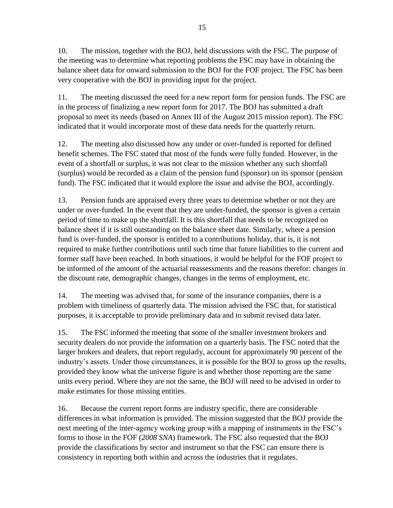10. The mission, together with the BOJ, held discussions with the FSC. The purpose of the meeting was to determine what reporting problems the FSC may have in obtaining the balance sheet data for onward submission to the BOJ for the FOF project. The FSC has been very cooperative with the BOJ in providing input for the project.

11. The meeting discussed the need for a new report form for pension funds. The FSC are in the process of finalizing a new report form for 2017. The BOJ has submitted a draft proposal to meet its needs (based on Annex III of the August 2015 mission report). The FSC indicated that it would incorporate most of these data needs for the quarterly return.

12. The meeting also discussed how any under or over-funded is reported for defined benefit schemes. The FSC stated that most of the funds were fully funded. However, in the event of a shortfall or surplus, it was not clear to the mission whether any such shortfall (surplus) would be recorded as a claim of the pension fund (sponsor) on its sponsor (pension fund). The FSC indicated that it would explore the issue and advise the BOJ, accordingly.

13. Pension funds are appraised every three years to determine whether or not they are under or over-funded. In the event that they are under-funded, the sponsor is given a certain period of time to make up the shortfall. It is this shortfall that needs to be recognized on balance sheet if it is still outstanding on the balance sheet date. Similarly, where a pension fund is over-funded, the sponsor is entitled to a contributions holiday, that is, it is not required to make further contributions until such time that future liabilities to the current and former staff have been reached. In both situations, it would be helpful for the FOF project to be informed of the amount of the actuarial reassessments and the reasons therefor: changes in the discount rate, demographic changes, changes in the terms of employment, etc.

14. The meeting was advised that, for some of the insurance companies, there is a problem with timeliness of quarterly data. The mission advised the FSC that, for statistical purposes, it is acceptable to provide preliminary data and to submit revised data later.

15. The FSC informed the meeting that some of the smaller investment brokers and security dealers do not provide the information on a quarterly basis. The FSC noted that the larger brokers and dealers, that report regularly, account for approximately 90 percent of the industry's assets. Under those circumstances, it is possible for the BOJ to gross up the results, provided they know what the universe figure is and whether those reporting are the same units every period. Where they are not the same, the BOJ will need to be advised in order to make estimates for those missing entities.

16. Because the current report forms are industry specific, there are considerable differences in what information is provided. The mission suggested that the BOJ provide the next meeting of the inter-agency working group with a mapping of instruments in the FSC's forms to those in the FOF (*2008 SNA*) framework. The FSC also requested that the BOJ provide the classifications by sector and instrument so that the FSC can ensure there is consistency in reporting both within and across the industries that it regulates.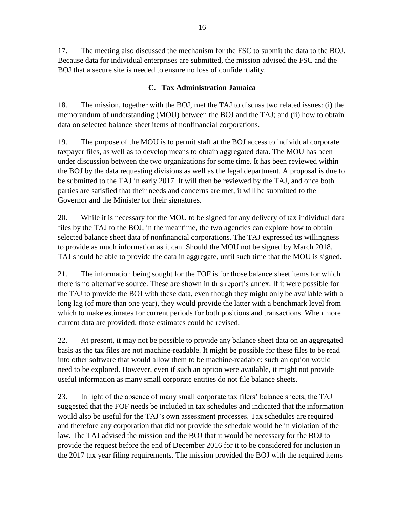17. The meeting also discussed the mechanism for the FSC to submit the data to the BOJ. Because data for individual enterprises are submitted, the mission advised the FSC and the BOJ that a secure site is needed to ensure no loss of confidentiality.

### **C. Tax Administration Jamaica**

18. The mission, together with the BOJ, met the TAJ to discuss two related issues: (i) the memorandum of understanding (MOU) between the BOJ and the TAJ; and (ii) how to obtain data on selected balance sheet items of nonfinancial corporations.

19. The purpose of the MOU is to permit staff at the BOJ access to individual corporate taxpayer files, as well as to develop means to obtain aggregated data. The MOU has been under discussion between the two organizations for some time. It has been reviewed within the BOJ by the data requesting divisions as well as the legal department. A proposal is due to be submitted to the TAJ in early 2017. It will then be reviewed by the TAJ, and once both parties are satisfied that their needs and concerns are met, it will be submitted to the Governor and the Minister for their signatures.

20. While it is necessary for the MOU to be signed for any delivery of tax individual data files by the TAJ to the BOJ, in the meantime, the two agencies can explore how to obtain selected balance sheet data of nonfinancial corporations. The TAJ expressed its willingness to provide as much information as it can. Should the MOU not be signed by March 2018, TAJ should be able to provide the data in aggregate, until such time that the MOU is signed.

21. The information being sought for the FOF is for those balance sheet items for which there is no alternative source. These are shown in this report's annex. If it were possible for the TAJ to provide the BOJ with these data, even though they might only be available with a long lag (of more than one year), they would provide the latter with a benchmark level from which to make estimates for current periods for both positions and transactions. When more current data are provided, those estimates could be revised.

22. At present, it may not be possible to provide any balance sheet data on an aggregated basis as the tax files are not machine-readable. It might be possible for these files to be read into other software that would allow them to be machine-readable: such an option would need to be explored. However, even if such an option were available, it might not provide useful information as many small corporate entities do not file balance sheets.

23. In light of the absence of many small corporate tax filers' balance sheets, the TAJ suggested that the FOF needs be included in tax schedules and indicated that the information would also be useful for the TAJ's own assessment processes. Tax schedules are required and therefore any corporation that did not provide the schedule would be in violation of the law. The TAJ advised the mission and the BOJ that it would be necessary for the BOJ to provide the request before the end of December 2016 for it to be considered for inclusion in the 2017 tax year filing requirements. The mission provided the BOJ with the required items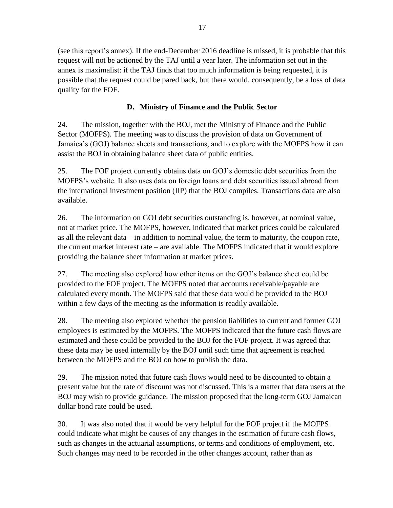(see this report's annex). If the end-December 2016 deadline is missed, it is probable that this request will not be actioned by the TAJ until a year later. The information set out in the annex is maximalist: if the TAJ finds that too much information is being requested, it is possible that the request could be pared back, but there would, consequently, be a loss of data quality for the FOF.

#### **D. Ministry of Finance and the Public Sector**

24. The mission, together with the BOJ, met the Ministry of Finance and the Public Sector (MOFPS). The meeting was to discuss the provision of data on Government of Jamaica's (GOJ) balance sheets and transactions, and to explore with the MOFPS how it can assist the BOJ in obtaining balance sheet data of public entities.

25. The FOF project currently obtains data on GOJ's domestic debt securities from the MOFPS's website. It also uses data on foreign loans and debt securities issued abroad from the international investment position (IIP) that the BOJ compiles. Transactions data are also available.

26. The information on GOJ debt securities outstanding is, however, at nominal value, not at market price. The MOFPS, however, indicated that market prices could be calculated as all the relevant data – in addition to nominal value, the term to maturity, the coupon rate, the current market interest rate – are available. The MOFPS indicated that it would explore providing the balance sheet information at market prices.

27. The meeting also explored how other items on the GOJ's balance sheet could be provided to the FOF project. The MOFPS noted that accounts receivable/payable are calculated every month. The MOFPS said that these data would be provided to the BOJ within a few days of the meeting as the information is readily available.

28. The meeting also explored whether the pension liabilities to current and former GOJ employees is estimated by the MOFPS. The MOFPS indicated that the future cash flows are estimated and these could be provided to the BOJ for the FOF project. It was agreed that these data may be used internally by the BOJ until such time that agreement is reached between the MOFPS and the BOJ on how to publish the data.

29. The mission noted that future cash flows would need to be discounted to obtain a present value but the rate of discount was not discussed. This is a matter that data users at the BOJ may wish to provide guidance. The mission proposed that the long-term GOJ Jamaican dollar bond rate could be used.

30. It was also noted that it would be very helpful for the FOF project if the MOFPS could indicate what might be causes of any changes in the estimation of future cash flows, such as changes in the actuarial assumptions, or terms and conditions of employment, etc. Such changes may need to be recorded in the other changes account, rather than as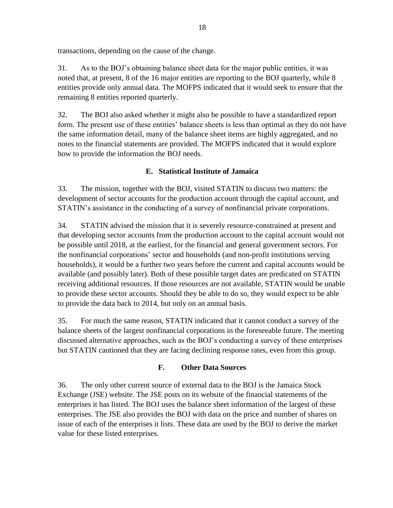transactions, depending on the cause of the change.

31. As to the BOJ's obtaining balance sheet data for the major public entities, it was noted that, at present, 8 of the 16 major entities are reporting to the BOJ quarterly, while 8 entities provide only annual data. The MOFPS indicated that it would seek to ensure that the remaining 8 entities reported quarterly.

32. The BOJ also asked whether it might also be possible to have a standardized report form. The present use of these entities' balance sheets is less than optimal as they do not have the same information detail, many of the balance sheet items are highly aggregated, and no notes to the financial statements are provided. The MOFPS indicated that it would explore how to provide the information the BOJ needs.

#### **E. Statistical Institute of Jamaica**

33. The mission, together with the BOJ, visited STATIN to discuss two matters: the development of sector accounts for the production account through the capital account, and STATIN's assistance in the conducting of a survey of nonfinancial private corporations.

34. STATIN advised the mission that it is severely resource-constrained at present and that developing sector accounts from the production account to the capital account would not be possible until 2018, at the earliest, for the financial and general government sectors. For the nonfinancial corporations' sector and households (and non-profit institutions serving households), it would be a further two years before the current and capital accounts would be available (and possibly later). Both of these possible target dates are predicated on STATIN receiving additional resources. If those resources are not available, STATIN would be unable to provide these sector accounts. Should they be able to do so, they would expect to be able to provide the data back to 2014, but only on an annual basis.

35. For much the same reason, STATIN indicated that it cannot conduct a survey of the balance sheets of the largest nonfinancial corporations in the foreseeable future. The meeting discussed alternative approaches, such as the BOJ's conducting a survey of these enterprises but STATIN cautioned that they are facing declining response rates, even from this group.

#### **F. Other Data Sources**

36. The only other current source of external data to the BOJ is the Jamaica Stock Exchange (JSE) website. The JSE posts on its website of the financial statements of the enterprises it has listed. The BOJ uses the balance sheet information of the largest of these enterprises. The JSE also provides the BOJ with data on the price and number of shares on issue of each of the enterprises it lists. These data are used by the BOJ to derive the market value for these listed enterprises.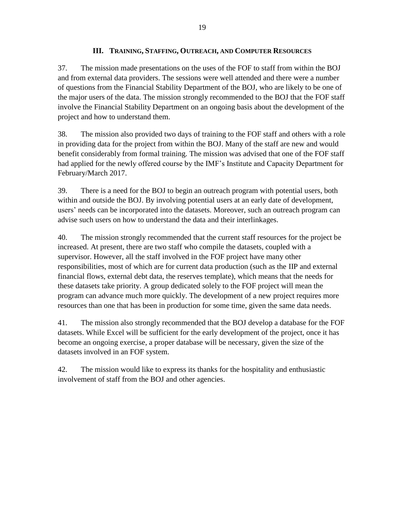#### **III. TRAINING, STAFFING, OUTREACH, AND COMPUTER RESOURCES**

37. The mission made presentations on the uses of the FOF to staff from within the BOJ and from external data providers. The sessions were well attended and there were a number of questions from the Financial Stability Department of the BOJ, who are likely to be one of the major users of the data. The mission strongly recommended to the BOJ that the FOF staff involve the Financial Stability Department on an ongoing basis about the development of the project and how to understand them.

38. The mission also provided two days of training to the FOF staff and others with a role in providing data for the project from within the BOJ. Many of the staff are new and would benefit considerably from formal training. The mission was advised that one of the FOF staff had applied for the newly offered course by the IMF's Institute and Capacity Department for February/March 2017.

39. There is a need for the BOJ to begin an outreach program with potential users, both within and outside the BOJ. By involving potential users at an early date of development, users' needs can be incorporated into the datasets. Moreover, such an outreach program can advise such users on how to understand the data and their interlinkages.

40. The mission strongly recommended that the current staff resources for the project be increased. At present, there are two staff who compile the datasets, coupled with a supervisor. However, all the staff involved in the FOF project have many other responsibilities, most of which are for current data production (such as the IIP and external financial flows, external debt data, the reserves template), which means that the needs for these datasets take priority. A group dedicated solely to the FOF project will mean the program can advance much more quickly. The development of a new project requires more resources than one that has been in production for some time, given the same data needs.

41. The mission also strongly recommended that the BOJ develop a database for the FOF datasets. While Excel will be sufficient for the early development of the project, once it has become an ongoing exercise, a proper database will be necessary, given the size of the datasets involved in an FOF system.

42. The mission would like to express its thanks for the hospitality and enthusiastic involvement of staff from the BOJ and other agencies.